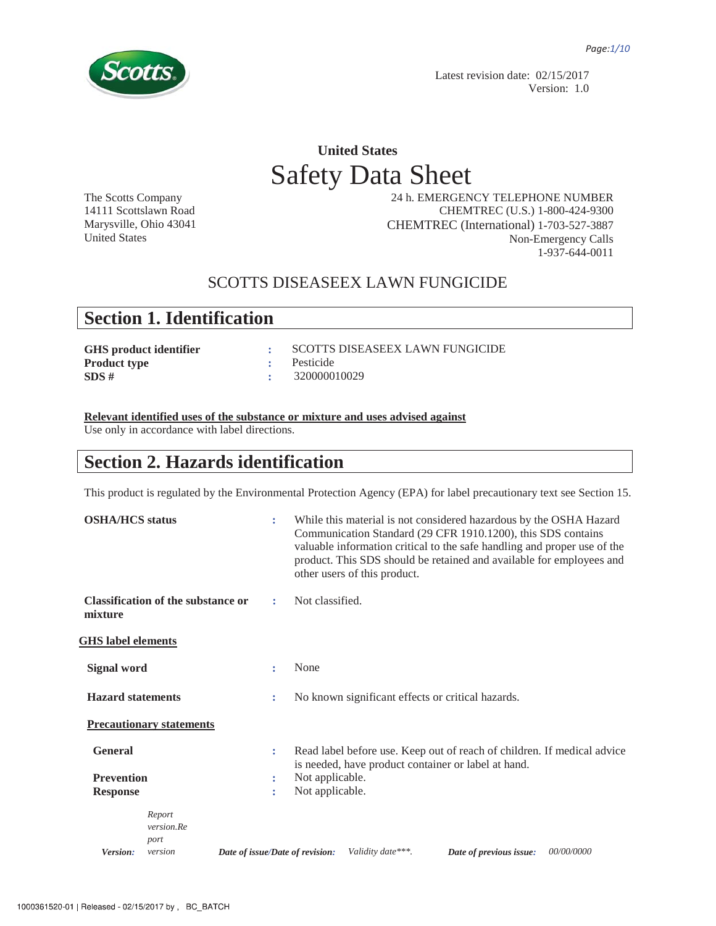

Latest revision date: 02/15/2017 Version: 1.0

# **United States**  Safety Data Sheet

The Scotts Company 14111 Scottslawn Road Marysville, Ohio 43041 United States

 24 h. EMERGENCY TELEPHONE NUMBER CHEMTREC (U.S.) 1-800-424-9300 CHEMTREC (International) 1-703-527-3887 Non-Emergency Calls 1-937-644-0011

### SCOTTS DISEASEEX LAWN FUNGICIDE

## **Section 1. Identification**

| : SCOTTS DISEASEEX LAWN FUNGICIDE |
|-----------------------------------|
| : Pesticide                       |
| $\div$ 320000010029               |
|                                   |

**Relevant identified uses of the substance or mixture and uses advised against**

Use only in accordance with label directions.

## **Section 2. Hazards identification**

This product is regulated by the Environmental Protection Agency (EPA) for label precautionary text see Section 15.

| <b>OSHA/HCS</b> status                                 |                                           | ÷                               | While this material is not considered hazardous by the OSHA Hazard<br>Communication Standard (29 CFR 1910.1200), this SDS contains<br>valuable information critical to the safe handling and proper use of the<br>product. This SDS should be retained and available for employees and<br>other users of this product. |
|--------------------------------------------------------|-------------------------------------------|---------------------------------|------------------------------------------------------------------------------------------------------------------------------------------------------------------------------------------------------------------------------------------------------------------------------------------------------------------------|
| mixture                                                | <b>Classification of the substance or</b> | ÷                               | Not classified.                                                                                                                                                                                                                                                                                                        |
| <b>GHS</b> label elements                              |                                           |                                 |                                                                                                                                                                                                                                                                                                                        |
| Signal word                                            |                                           | ÷                               | None                                                                                                                                                                                                                                                                                                                   |
| <b>Hazard statements</b>                               |                                           | ÷                               | No known significant effects or critical hazards.                                                                                                                                                                                                                                                                      |
|                                                        | <b>Precautionary statements</b>           |                                 |                                                                                                                                                                                                                                                                                                                        |
| <b>General</b><br><b>Prevention</b><br><b>Response</b> |                                           | ÷<br>÷<br>÷                     | Read label before use. Keep out of reach of children. If medical advice<br>is needed, have product container or label at hand.<br>Not applicable.<br>Not applicable.                                                                                                                                                   |
| Version:                                               | Report<br>version.Re<br>port<br>version   | Date of issue/Date of revision: | Validity date***.<br>00/00/0000<br>Date of previous issue:                                                                                                                                                                                                                                                             |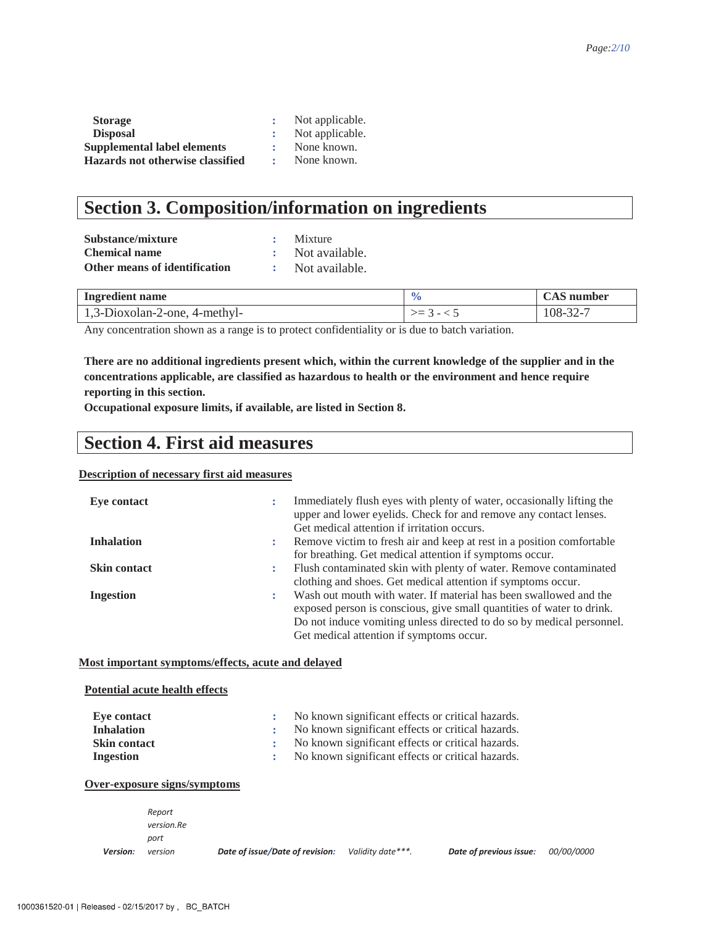| <b>Storage</b>                   | Not applicable. |
|----------------------------------|-----------------|
| <b>Disposal</b>                  | Not applicable. |
| Supplemental label elements      | None known.     |
| Hazards not otherwise classified | None known.     |

## **Section 3. Composition/information on ingredients**

| Substance/mixture             | Mixture          |
|-------------------------------|------------------|
| <b>Chemical name</b>          | : Not available. |
| Other means of identification | Not available.   |

| Ingredient name               |                          | CAS number        |
|-------------------------------|--------------------------|-------------------|
| 1,3-Dioxolan-2-one, 4-methyl- | $\overline{\phantom{0}}$ | $108 - ?$<br>-32- |

Any concentration shown as a range is to protect confidentiality or is due to batch variation.

**There are no additional ingredients present which, within the current knowledge of the supplier and in the concentrations applicable, are classified as hazardous to health or the environment and hence require reporting in this section.** 

**Occupational exposure limits, if available, are listed in Section 8.**

### **Section 4. First aid measures**

### **Description of necessary first aid measures**

| Eye contact         |   | Immediately flush eyes with plenty of water, occasionally lifting the<br>upper and lower eyelids. Check for and remove any contact lenses.<br>Get medical attention if irritation occurs. |
|---------------------|---|-------------------------------------------------------------------------------------------------------------------------------------------------------------------------------------------|
| <b>Inhalation</b>   | ÷ | Remove victim to fresh air and keep at rest in a position comfortable                                                                                                                     |
|                     |   | for breathing. Get medical attention if symptoms occur.                                                                                                                                   |
| <b>Skin contact</b> | ÷ | Flush contaminated skin with plenty of water. Remove contaminated                                                                                                                         |
|                     |   | clothing and shoes. Get medical attention if symptoms occur.                                                                                                                              |
| <b>Ingestion</b>    | ÷ | Wash out mouth with water. If material has been swallowed and the                                                                                                                         |
|                     |   | exposed person is conscious, give small quantities of water to drink.                                                                                                                     |
|                     |   | Do not induce vomiting unless directed to do so by medical personnel.                                                                                                                     |
|                     |   | Get medical attention if symptoms occur.                                                                                                                                                  |

### **Most important symptoms/effects, acute and delayed**

### **Potential acute health effects**

| Eve contact         | No known significant effects or critical hazards. |
|---------------------|---------------------------------------------------|
| <b>Inhalation</b>   | No known significant effects or critical hazards. |
| <b>Skin contact</b> | No known significant effects or critical hazards. |
| <b>Ingestion</b>    | No known significant effects or critical hazards. |

### **Over-exposure signs/symptoms**

|                 | Report     |
|-----------------|------------|
|                 | version.Re |
|                 | port       |
| <b>Version:</b> | version    |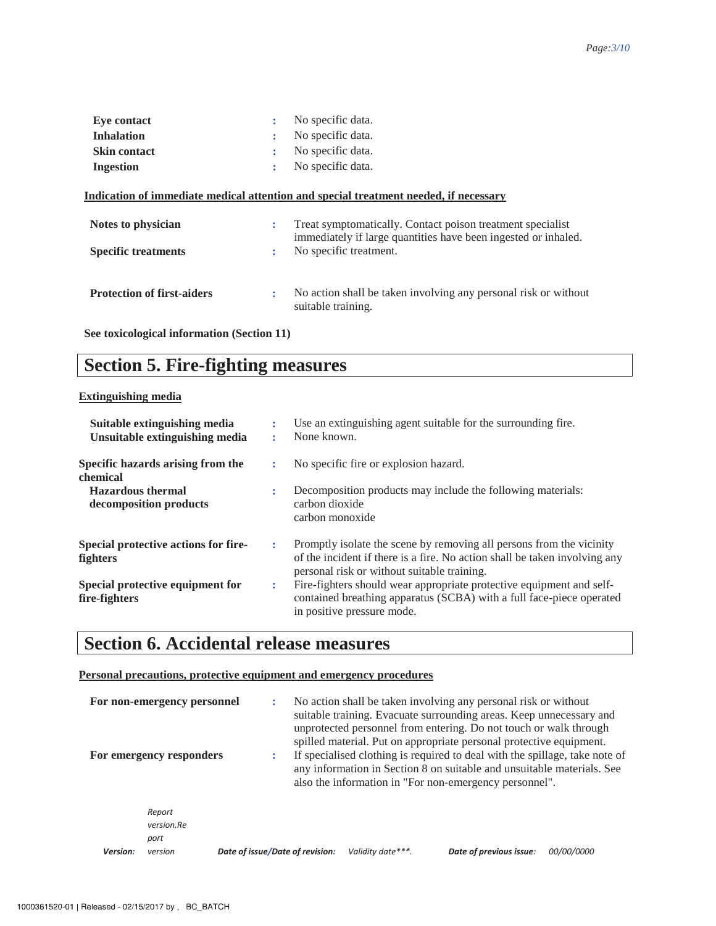| <b>Eve contact</b>                | ÷                    | No specific data.                                                                                                            |
|-----------------------------------|----------------------|------------------------------------------------------------------------------------------------------------------------------|
| <b>Inhalation</b>                 | ÷                    | No specific data.                                                                                                            |
| <b>Skin contact</b>               | ÷                    | No specific data.                                                                                                            |
| <b>Ingestion</b>                  | ÷                    | No specific data.                                                                                                            |
|                                   |                      | Indication of immediate medical attention and special treatment needed, if necessary                                         |
| Notes to physician                | ÷                    | Treat symptomatically. Contact poison treatment specialist<br>immediately if large quantities have been ingested or inhaled. |
| <b>Specific treatments</b>        | ÷                    | No specific treatment.                                                                                                       |
| <b>Protection of first-aiders</b> | $\ddot{\phantom{a}}$ | No action shall be taken involving any personal risk or without                                                              |
|                                   |                      | suitable training.                                                                                                           |

**See toxicological information (Section 11)** 

# **Section 5. Fire-fighting measures**

### **Extinguishing media**

| Suitable extinguishing media<br>Unsuitable extinguishing media |   | Use an extinguishing agent suitable for the surrounding fire.<br>None known.                                                                                                                      |
|----------------------------------------------------------------|---|---------------------------------------------------------------------------------------------------------------------------------------------------------------------------------------------------|
| Specific hazards arising from the<br>chemical                  |   | No specific fire or explosion hazard.                                                                                                                                                             |
| <b>Hazardous</b> thermal<br>decomposition products             |   | Decomposition products may include the following materials:<br>carbon dioxide<br>carbon monoxide                                                                                                  |
| Special protective actions for fire-<br>fighters               |   | Promptly isolate the scene by removing all persons from the vicinity<br>of the incident if there is a fire. No action shall be taken involving any<br>personal risk or without suitable training. |
| Special protective equipment for<br>fire-fighters              | ÷ | Fire-fighters should wear appropriate protective equipment and self-<br>contained breathing apparatus (SCBA) with a full face-piece operated<br>in positive pressure mode.                        |

## **Section 6. Accidental release measures**

### **Personal precautions, protective equipment and emergency procedures**

|          | For non-emergency personnel<br>For emergency responders |                                 |                   | No action shall be taken involving any personal risk or without<br>suitable training. Evacuate surrounding areas. Keep unnecessary and<br>unprotected personnel from entering. Do not touch or walk through<br>spilled material. Put on appropriate personal protective equipment.<br>If specialised clothing is required to deal with the spillage, take note of<br>any information in Section 8 on suitable and unsuitable materials. See<br>also the information in "For non-emergency personnel". |            |
|----------|---------------------------------------------------------|---------------------------------|-------------------|-------------------------------------------------------------------------------------------------------------------------------------------------------------------------------------------------------------------------------------------------------------------------------------------------------------------------------------------------------------------------------------------------------------------------------------------------------------------------------------------------------|------------|
|          | Report<br>version.Re<br>port                            |                                 |                   |                                                                                                                                                                                                                                                                                                                                                                                                                                                                                                       |            |
| Version: | version                                                 | Date of issue/Date of revision: | Validity date***. | Date of previous issue:                                                                                                                                                                                                                                                                                                                                                                                                                                                                               | 00/00/0000 |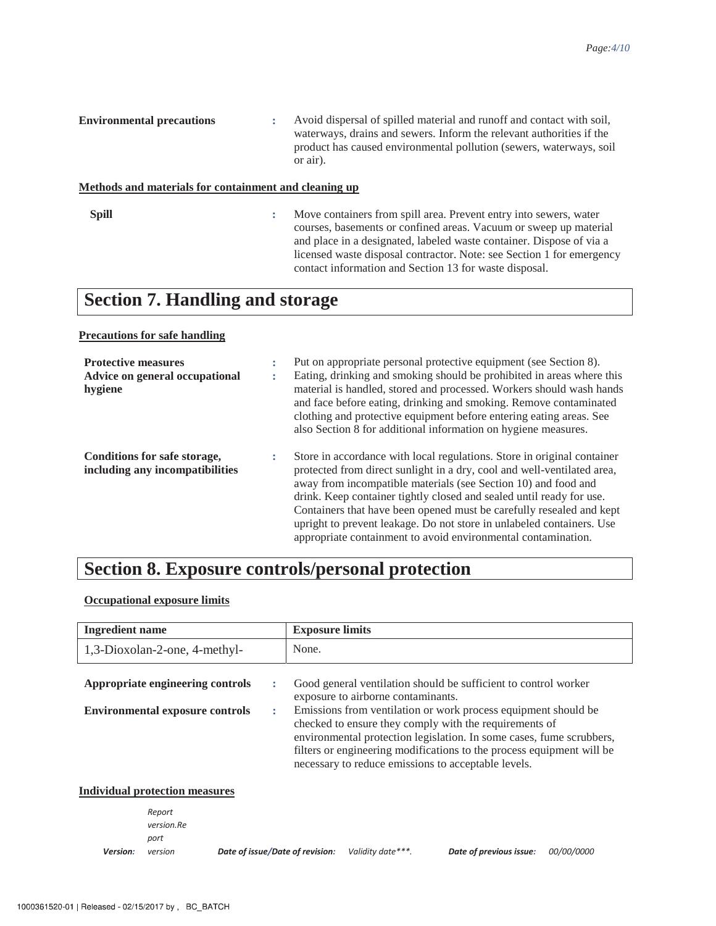| <b>Environmental precautions</b> |  | Avoid dispersal of spilled material and runoff and contact with soil,<br>waterways, drains and sewers. Inform the relevant authorities if the<br>product has caused environmental pollution (sewers, waterways, soil)<br>or air). |
|----------------------------------|--|-----------------------------------------------------------------------------------------------------------------------------------------------------------------------------------------------------------------------------------|
|----------------------------------|--|-----------------------------------------------------------------------------------------------------------------------------------------------------------------------------------------------------------------------------------|

### **Methods and materials for containment and cleaning up**

**Spill :** Move containers from spill area. Prevent entry into sewers, water courses, basements or confined areas. Vacuum or sweep up material and place in a designated, labeled waste container. Dispose of via a licensed waste disposal contractor. Note: see Section 1 for emergency contact information and Section 13 for waste disposal.

## **Section 7. Handling and storage**

### **Precautions for safe handling**

| <b>Protective measures</b><br>Advice on general occupational<br>hygiene | ÷<br>٠<br>٠ | Put on appropriate personal protective equipment (see Section 8).<br>Eating, drinking and smoking should be prohibited in areas where this<br>material is handled, stored and processed. Workers should wash hands<br>and face before eating, drinking and smoking. Remove contaminated<br>clothing and protective equipment before entering eating areas. See<br>also Section 8 for additional information on hygiene measures.                                                                               |
|-------------------------------------------------------------------------|-------------|----------------------------------------------------------------------------------------------------------------------------------------------------------------------------------------------------------------------------------------------------------------------------------------------------------------------------------------------------------------------------------------------------------------------------------------------------------------------------------------------------------------|
| Conditions for safe storage,<br>including any incompatibilities         | ÷           | Store in accordance with local regulations. Store in original container<br>protected from direct sunlight in a dry, cool and well-ventilated area,<br>away from incompatible materials (see Section 10) and food and<br>drink. Keep container tightly closed and sealed until ready for use.<br>Containers that have been opened must be carefully resealed and kept<br>upright to prevent leakage. Do not store in unlabeled containers. Use<br>appropriate containment to avoid environmental contamination. |

## **Section 8. Exposure controls/personal protection**

### **Occupational exposure limits**

| <b>Ingredient name</b>                                                     |        | <b>Exposure limits</b>                                                                                                                                                                                                                                                                                                                                                                                                                    |
|----------------------------------------------------------------------------|--------|-------------------------------------------------------------------------------------------------------------------------------------------------------------------------------------------------------------------------------------------------------------------------------------------------------------------------------------------------------------------------------------------------------------------------------------------|
| 1,3-Dioxolan-2-one, 4-methyl-                                              |        | None.                                                                                                                                                                                                                                                                                                                                                                                                                                     |
| Appropriate engineering controls<br><b>Environmental exposure controls</b> | ÷<br>÷ | Good general ventilation should be sufficient to control worker<br>exposure to airborne contaminants.<br>Emissions from ventilation or work process equipment should be<br>checked to ensure they comply with the requirements of<br>environmental protection legislation. In some cases, fume scrubbers,<br>filters or engineering modifications to the process equipment will be<br>necessary to reduce emissions to acceptable levels. |
| Individual protection measures                                             |        |                                                                                                                                                                                                                                                                                                                                                                                                                                           |
| Renort                                                                     |        |                                                                                                                                                                                                                                                                                                                                                                                                                                           |

#### **Version:** version Report  $version$ *Re* port *Date of issue/Date of revision:* Validity date<sup>\*\*\*</sup>. Date of previous issue: 00/00/0000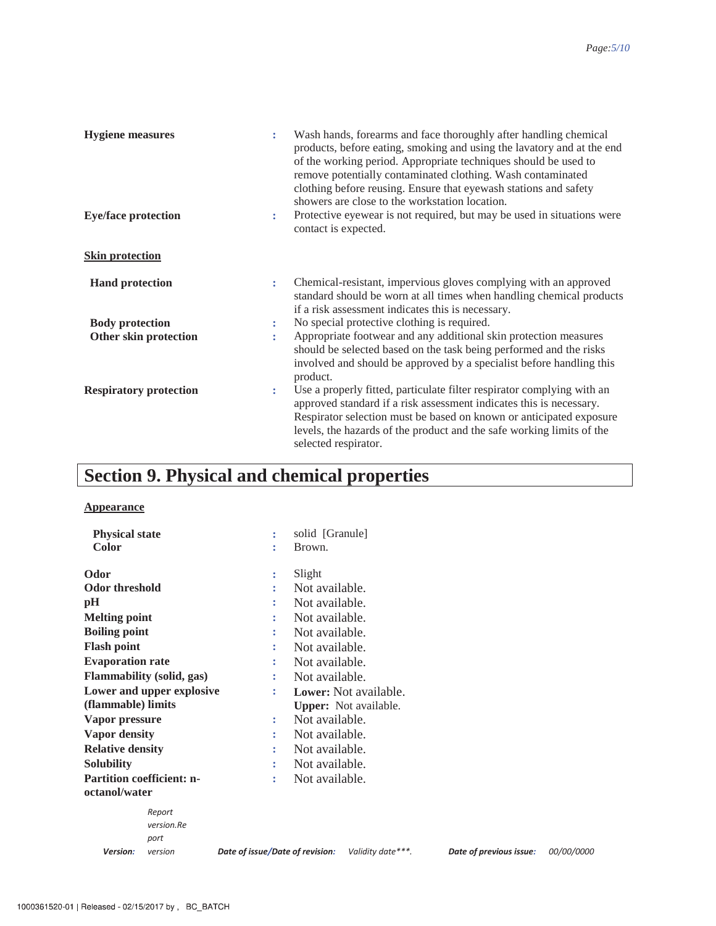| <b>Hygiene</b> measures       | ÷ | Wash hands, forearms and face thoroughly after handling chemical<br>products, before eating, smoking and using the lavatory and at the end<br>of the working period. Appropriate techniques should be used to<br>remove potentially contaminated clothing. Wash contaminated<br>clothing before reusing. Ensure that eyewash stations and safety<br>showers are close to the workstation location. |
|-------------------------------|---|----------------------------------------------------------------------------------------------------------------------------------------------------------------------------------------------------------------------------------------------------------------------------------------------------------------------------------------------------------------------------------------------------|
| <b>Eye/face protection</b>    | ÷ | Protective eyewear is not required, but may be used in situations were<br>contact is expected.                                                                                                                                                                                                                                                                                                     |
| <b>Skin protection</b>        |   |                                                                                                                                                                                                                                                                                                                                                                                                    |
| <b>Hand protection</b>        | ÷ | Chemical-resistant, impervious gloves complying with an approved<br>standard should be worn at all times when handling chemical products<br>if a risk assessment indicates this is necessary.                                                                                                                                                                                                      |
| <b>Body protection</b>        | ÷ | No special protective clothing is required.                                                                                                                                                                                                                                                                                                                                                        |
| Other skin protection         | ÷ | Appropriate footwear and any additional skin protection measures<br>should be selected based on the task being performed and the risks<br>involved and should be approved by a specialist before handling this<br>product.                                                                                                                                                                         |
| <b>Respiratory protection</b> | ÷ | Use a properly fitted, particulate filter respirator complying with an<br>approved standard if a risk assessment indicates this is necessary.<br>Respirator selection must be based on known or anticipated exposure<br>levels, the hazards of the product and the safe working limits of the<br>selected respirator.                                                                              |

# **Section 9. Physical and chemical properties**

### **Appearance**

| <b>Physical state</b>            | solid [Granule]<br>÷                                                            |            |
|----------------------------------|---------------------------------------------------------------------------------|------------|
| <b>Color</b>                     | Brown.<br>÷                                                                     |            |
| Odor                             | Slight<br>÷                                                                     |            |
| <b>Odor threshold</b>            | Not available.<br>÷                                                             |            |
| pH                               | Not available.<br>÷                                                             |            |
| <b>Melting point</b>             | Not available.<br>÷                                                             |            |
| <b>Boiling point</b>             | Not available.<br>÷                                                             |            |
| <b>Flash point</b>               | Not available.<br>÷                                                             |            |
| <b>Evaporation rate</b>          | Not available.<br>÷                                                             |            |
| Flammability (solid, gas)        | Not available.<br>÷                                                             |            |
| Lower and upper explosive        | <b>Lower:</b> Not available.<br>÷                                               |            |
| (flammable) limits               | <b>Upper:</b> Not available.                                                    |            |
| Vapor pressure                   | Not available.<br>$\ddot{\phantom{a}}$                                          |            |
| <b>Vapor density</b>             | Not available.<br>÷                                                             |            |
| <b>Relative density</b>          | Not available.<br>÷                                                             |            |
| <b>Solubility</b>                | Not available.<br>÷                                                             |            |
| <b>Partition coefficient: n-</b> | Not available.<br>÷                                                             |            |
| octanol/water                    |                                                                                 |            |
| Report                           |                                                                                 |            |
| version.Re                       |                                                                                 |            |
| port                             |                                                                                 |            |
| Version:<br>version              | Validity date***.<br>Date of issue/Date of revision:<br>Date of previous issue: | 00/00/0000 |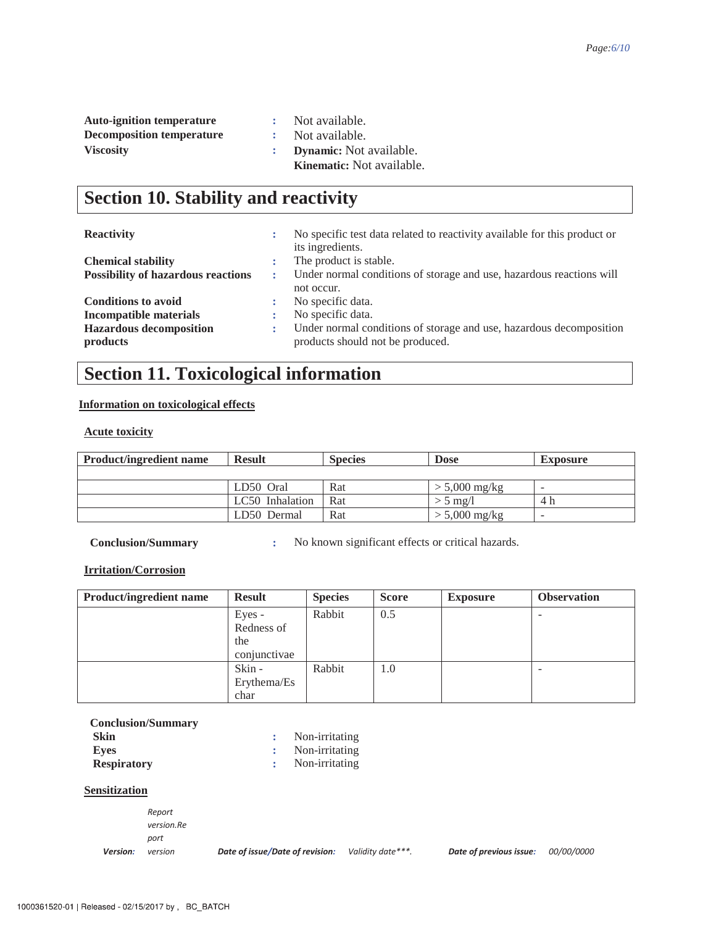| <b>Auto-ignition temperature</b> | Not available.                   |
|----------------------------------|----------------------------------|
| <b>Decomposition temperature</b> | : Not available.                 |
| <b>Viscosity</b>                 | <b>Dynamic:</b> Not available.   |
|                                  | <b>Kinematic:</b> Not available. |

# **Section 10. Stability and reactivity**

### **Reactivity :** No specific test data related to reactivity available for this product or

| $-$                                       |    | The operate that was also there are the thing of the second the same promote of |
|-------------------------------------------|----|---------------------------------------------------------------------------------|
|                                           |    | its ingredients.                                                                |
| <b>Chemical stability</b>                 |    | The product is stable.                                                          |
| <b>Possibility of hazardous reactions</b> |    | Under normal conditions of storage and use, hazardous reactions will            |
|                                           |    | not occur.                                                                      |
| <b>Conditions to avoid</b>                | ٠. | No specific data.                                                               |
| Incompatible materials                    |    | No specific data.                                                               |
| <b>Hazardous decomposition</b>            | ÷. | Under normal conditions of storage and use, hazardous decomposition             |
| products                                  |    | products should not be produced.                                                |
|                                           |    |                                                                                 |

## **Section 11. Toxicological information**

### **Information on toxicological effects**

**Acute toxicity**

| <b>Product/ingredient name</b> | <b>Result</b>   | <b>Species</b> | <b>Dose</b>     | <b>Exposure</b>          |
|--------------------------------|-----------------|----------------|-----------------|--------------------------|
|                                |                 |                |                 |                          |
|                                | LD50 Oral       | Rat            | $> 5,000$ mg/kg | $\overline{\phantom{0}}$ |
|                                | LC50 Inhalation | Rat            | $> 5$ mg/l      | 4 h                      |
|                                | LD50 Dermal     | Rat            | $> 5,000$ mg/kg | $\overline{\phantom{a}}$ |

**Conclusion/Summary :** No known significant effects or critical hazards.

### **Irritation/Corrosion**

| <b>Product/ingredient name</b> | <b>Result</b> | <b>Species</b> | <b>Score</b> | <b>Exposure</b> | <b>Observation</b> |
|--------------------------------|---------------|----------------|--------------|-----------------|--------------------|
|                                | Eyes -        | Rabbit         | 0.5          |                 |                    |
|                                | Redness of    |                |              |                 |                    |
|                                | the           |                |              |                 |                    |
|                                | conjunctivae  |                |              |                 |                    |
|                                | Skin -        | Rabbit         | 1.0          |                 |                    |
|                                | Erythema/Es   |                |              |                 |                    |
|                                | char          |                |              |                 |                    |

| <b>Conclusion/Summary</b> |                  |
|---------------------------|------------------|
| <b>Skin</b>               | Non-irritating   |
| Eves                      | : Non-irritating |
| <b>Respiratory</b>        | Non-irritating   |

### **Sensitization**

**Version:** version  $Report$  $version$ *Re* port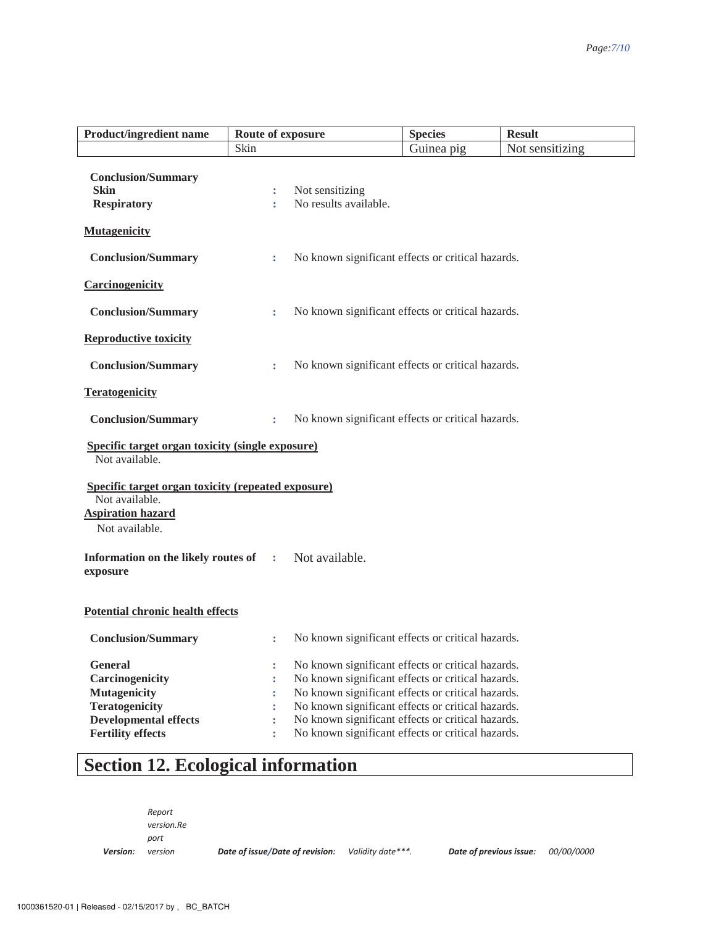| <b>Product/ingredient name</b>                                                                                            | Route of exposure    |                                                   | <b>Species</b> | <b>Result</b>   |
|---------------------------------------------------------------------------------------------------------------------------|----------------------|---------------------------------------------------|----------------|-----------------|
|                                                                                                                           | Skin                 |                                                   | Guinea pig     | Not sensitizing |
| <b>Conclusion/Summary</b>                                                                                                 |                      |                                                   |                |                 |
| <b>Skin</b>                                                                                                               | ÷                    | Not sensitizing                                   |                |                 |
| <b>Respiratory</b>                                                                                                        |                      | No results available.                             |                |                 |
| <b>Mutagenicity</b>                                                                                                       |                      |                                                   |                |                 |
| <b>Conclusion/Summary</b>                                                                                                 | ÷                    | No known significant effects or critical hazards. |                |                 |
| Carcinogenicity                                                                                                           |                      |                                                   |                |                 |
| <b>Conclusion/Summary</b>                                                                                                 | $\ddot{\phantom{a}}$ | No known significant effects or critical hazards. |                |                 |
| <b>Reproductive toxicity</b>                                                                                              |                      |                                                   |                |                 |
| <b>Conclusion/Summary</b>                                                                                                 | ÷                    | No known significant effects or critical hazards. |                |                 |
| <b>Teratogenicity</b>                                                                                                     |                      |                                                   |                |                 |
| <b>Conclusion/Summary</b>                                                                                                 | ÷                    | No known significant effects or critical hazards. |                |                 |
| <b>Specific target organ toxicity (single exposure)</b><br>Not available.                                                 |                      |                                                   |                |                 |
| <b>Specific target organ toxicity (repeated exposure)</b><br>Not available.<br><b>Aspiration hazard</b><br>Not available. |                      |                                                   |                |                 |
| Information on the likely routes of<br>exposure                                                                           | ÷                    | Not available.                                    |                |                 |
| Potential chronic health effects                                                                                          |                      |                                                   |                |                 |
| <b>Conclusion/Summary</b>                                                                                                 | ÷                    | No known significant effects or critical hazards. |                |                 |
| <b>General</b>                                                                                                            | ÷                    | No known significant effects or critical hazards. |                |                 |
| Carcinogenicity                                                                                                           | ÷                    | No known significant effects or critical hazards. |                |                 |
| <b>Mutagenicity</b>                                                                                                       |                      | No known significant effects or critical hazards. |                |                 |
| <b>Teratogenicity</b>                                                                                                     |                      | No known significant effects or critical hazards. |                |                 |
| <b>Developmental effects</b>                                                                                              |                      | No known significant effects or critical hazards. |                |                 |
| <b>Fertility effects</b>                                                                                                  | ÷                    | No known significant effects or critical hazards. |                |                 |

# **Section 12. Ecological information**

**Version:** version  $Report$  $version$ *Re* port

*Date of issue/Date of revision:* Validity date<sup>\*\*\*</sup>. Date of previous issue: 00/00/0000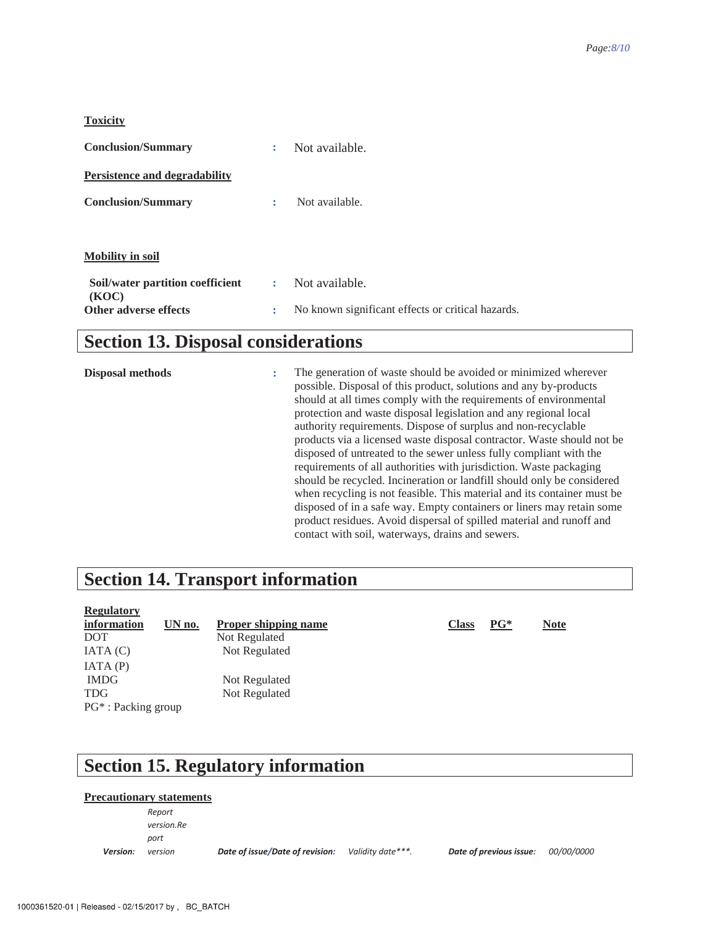#### **Toxicity**

| <b>Conclusion/Summary</b>                 | ÷ | Not available.                                    |
|-------------------------------------------|---|---------------------------------------------------|
| Persistence and degradability             |   |                                                   |
| <b>Conclusion/Summary</b>                 | ÷ | Not available.                                    |
|                                           |   |                                                   |
| <b>Mobility in soil</b>                   |   |                                                   |
| Soil/water partition coefficient<br>(KOC) | ÷ | Not available.                                    |
| Other adverse effects                     | ÷ | No known significant effects or critical hazards. |

### **Section 13. Disposal considerations**

**Disposal methods :** The generation of waste should be avoided or minimized wherever possible. Disposal of this product, solutions and any by-products should at all times comply with the requirements of environmental protection and waste disposal legislation and any regional local authority requirements. Dispose of surplus and non-recyclable products via a licensed waste disposal contractor. Waste should not be disposed of untreated to the sewer unless fully compliant with the requirements of all authorities with jurisdiction. Waste packaging should be recycled. Incineration or landfill should only be considered when recycling is not feasible. This material and its container must be disposed of in a safe way. Empty containers or liners may retain some product residues. Avoid dispersal of spilled material and runoff and contact with soil, waterways, drains and sewers.

### **Section 14. Transport information**

| <b>Regulatory</b>      |        |                             |  |
|------------------------|--------|-----------------------------|--|
| information            | UN no. | <b>Proper shipping name</b> |  |
| <b>DOT</b>             |        | Not Regulated               |  |
| IATA(C)                |        | Not Regulated               |  |
| IATA(P)                |        |                             |  |
| <b>IMDG</b>            |        | Not Regulated               |  |
| <b>TDG</b>             |        | Not Regulated               |  |
| $PG^*$ : Packing group |        |                             |  |
|                        |        |                             |  |

## **Section 15. Regulatory information**

### **Precautionary statements**

**Version:**  $Report$  $version$ *Re* port

*version Date of issue/Date of revision: Validity date\*\*\*. Date of previous issue:* 00/00/0000

**information PG\* Note**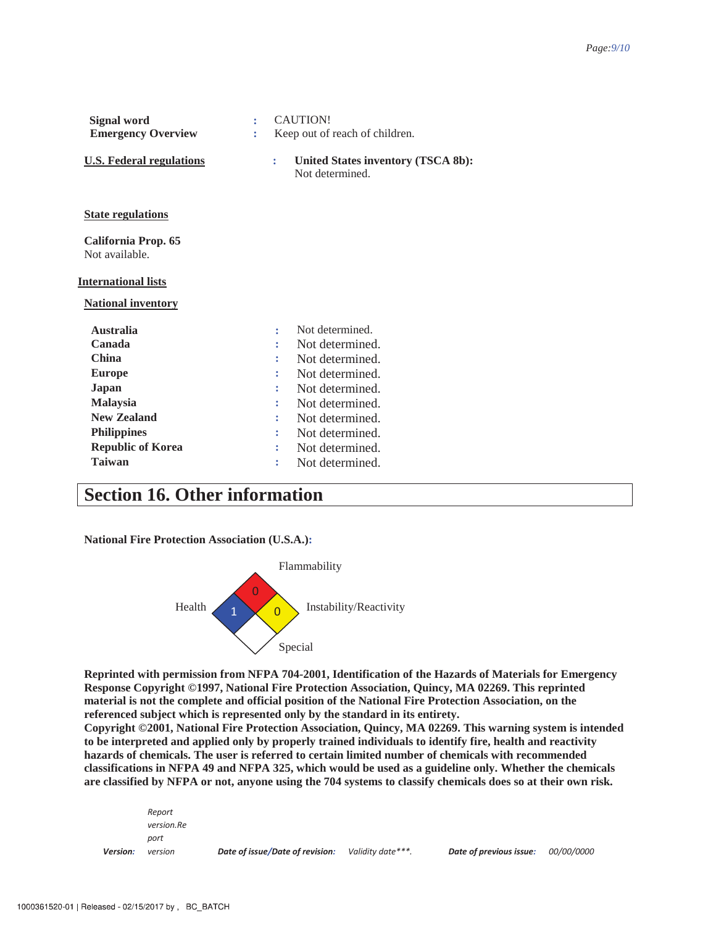| <b>Signal word</b>                    |   | <b>CAUTION!</b>                |                                                       |
|---------------------------------------|---|--------------------------------|-------------------------------------------------------|
| <b>Emergency Overview</b>             | ř | Keep out of reach of children. |                                                       |
| <b>U.S. Federal regulations</b>       |   | ÷                              | United States inventory (TSCA 8b):<br>Not determined. |
| <u>State regulations</u>              |   |                                |                                                       |
| California Prop. 65<br>Not available. |   |                                |                                                       |
| <b>International lists</b>            |   |                                |                                                       |
| <b>National inventory</b>             |   |                                |                                                       |
| <b>Australia</b>                      |   |                                | Not determined.                                       |
| Canada                                |   |                                | Not determined.                                       |
| <b>China</b>                          |   |                                | Not determined.                                       |
| <b>Europe</b>                         |   |                                | Not determined.                                       |
| <b>Japan</b>                          |   |                                | Not determined.                                       |
| <b>Malaysia</b>                       |   |                                | Not determined.                                       |
| <b>New Zealand</b>                    |   |                                | Not determined.                                       |
| <b>Philippines</b>                    |   |                                | Not determined.                                       |
| <b>Republic of Korea</b>              |   | t                              | Not determined.                                       |
| <b>Taiwan</b>                         |   | ÷                              | Not determined.                                       |

### **Section 16. Other information**

**National Fire Protection Association (U.S.A.):** 



**Reprinted with permission from NFPA 704-2001, Identification of the Hazards of Materials for Emergency Response Copyright ©1997, National Fire Protection Association, Quincy, MA 02269. This reprinted material is not the complete and official position of the National Fire Protection Association, on the referenced subject which is represented only by the standard in its entirety.** 

**Copyright ©2001, National Fire Protection Association, Quincy, MA 02269. This warning system is intended to be interpreted and applied only by properly trained individuals to identify fire, health and reactivity hazards of chemicals. The user is referred to certain limited number of chemicals with recommended classifications in NFPA 49 and NFPA 325, which would be used as a guideline only. Whether the chemicals are classified by NFPA or not, anyone using the 704 systems to classify chemicals does so at their own risk.** 

| Version: | port<br>version      | Date of issue/Date of revision: | Validity date***. | Date of previous issue: | <i>00/00/0000</i> |  |
|----------|----------------------|---------------------------------|-------------------|-------------------------|-------------------|--|
|          | Report<br>version.Re |                                 |                   |                         |                   |  |